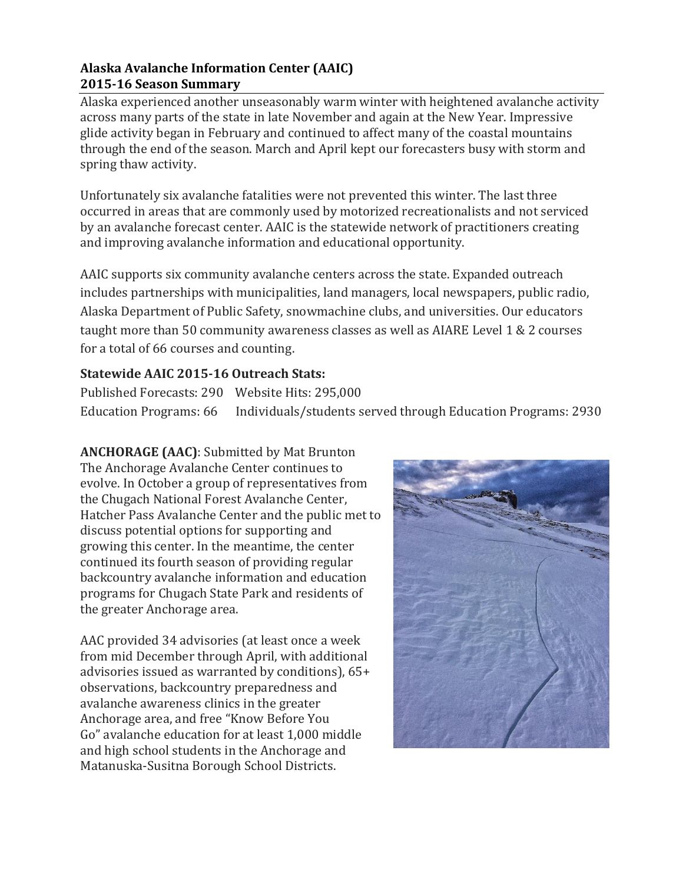# **Alaska Avalanche Information Center (AAIC) 2015-16 Season Summary**

Alaska experienced another unseasonably warm winter with heightened avalanche activity across many parts of the state in late November and again at the New Year. Impressive glide activity began in February and continued to affect many of the coastal mountains through the end of the season. March and April kept our forecasters busy with storm and spring thaw activity.

Unfortunately six avalanche fatalities were not prevented this winter. The last three occurred in areas that are commonly used by motorized recreationalists and not serviced by an avalanche forecast center. AAIC is the statewide network of practitioners creating and improving avalanche information and educational opportunity.

AAIC supports six community avalanche centers across the state. Expanded outreach includes partnerships with municipalities, land managers, local newspapers, public radio, Alaska Department of Public Safety, snowmachine clubs, and universities. Our educators taught more than 50 community awareness classes as well as AIARE Level 1 & 2 courses for a total of 66 courses and counting.

## **Statewide AAIC 2015-16 Outreach Stats:**

Published Forecasts: 290Website Hits: 295,000 Education Programs: 66 Individuals/students served through Education Programs: 2930

**ANCHORAGE (AAC)**: Submitted by Mat Brunton The Anchorage Avalanche Center continues to evolve. In October a group of representatives from the Chugach National Forest Avalanche Center, Hatcher Pass Avalanche Center and the public met to discuss potential options for supporting and growing this center. In the meantime, the center continued its fourth season of providing regular backcountry avalanche information and education programs for Chugach State Park and residents of the greater Anchorage area.

AAC provided 34 advisories (at least once a week from mid December through April, with additional advisories issued as warranted by conditions), 65+ observations, backcountry preparedness and avalanche awareness clinics in the greater Anchorage area, and free "Know Before You Go" avalanche education for at least 1,000 middle and high school students in the Anchorage and Matanuska-Susitna Borough School Districts.

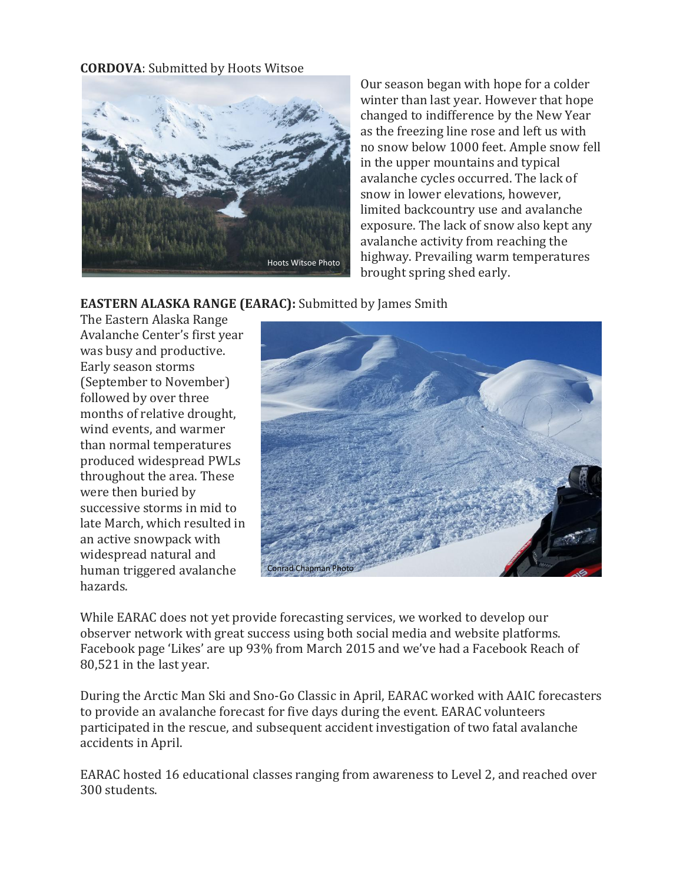#### **CORDOVA**: Submitted by Hoots Witsoe



Our season began with hope for a colder winter than last year. However that hope changed to indifference by the New Year as the freezing line rose and left us with no snow below 1000 feet. Ample snow fell in the upper mountains and typical avalanche cycles occurred. The lack of snow in lower elevations, however, limited backcountry use and avalanche exposure. The lack of snow also kept any avalanche activity from reaching the highway. Prevailing warm temperatures brought spring shed early.

**EASTERN ALASKA RANGE (EARAC):** Submitted by James Smith

The Eastern Alaska Range Avalanche Center's first year was busy and productive. Early season storms (September to November) followed by over three months of relative drought, wind events, and warmer than normal temperatures produced widespread PWLs throughout the area. These were then buried by successive storms in mid to late March, which resulted in an active snowpack with widespread natural and human triggered avalanche hazards.



While EARAC does not yet provide forecasting services, we worked to develop our observer network with great success using both social media and website platforms. Facebook page 'Likes' are up 93% from March 2015 and we've had a Facebook Reach of 80,521 in the last year.

During the Arctic Man Ski and Sno-Go Classic in April, EARAC worked with AAIC forecasters to provide an avalanche forecast for five days during the event. EARAC volunteers participated in the rescue, and subsequent accident investigation of two fatal avalanche accidents in April.

EARAC hosted 16 educational classes ranging from awareness to Level 2, and reached over 300 students.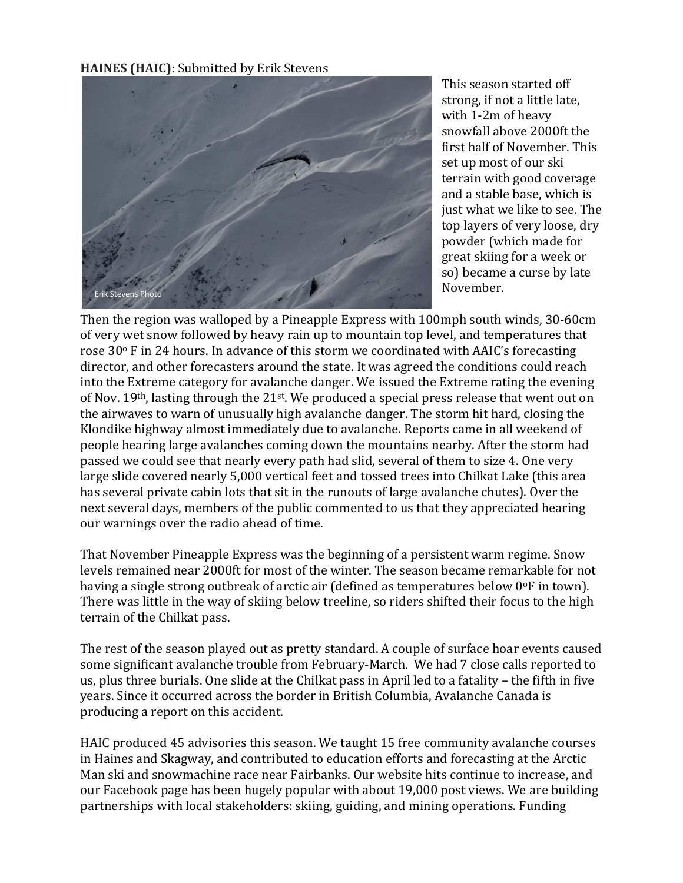## **HAINES (HAIC)**: Submitted by Erik Stevens

![](_page_2_Picture_1.jpeg)

This season started off strong, if not a little late, with 1-2m of heavy snowfall above 2000ft the first half of November. This set up most of our ski terrain with good coverage and a stable base, which is just what we like to see. The top layers of very loose, dry powder (which made for great skiing for a week or so) became a curse by late November.

Then the region was walloped by a Pineapple Express with 100mph south winds, 30-60cm of very wet snow followed by heavy rain up to mountain top level, and temperatures that rose  $30^{\circ}$  F in 24 hours. In advance of this storm we coordinated with AAIC's forecasting director, and other forecasters around the state. It was agreed the conditions could reach into the Extreme category for avalanche danger. We issued the Extreme rating the evening of Nov. 19th, lasting through the 21st. We produced a special press release that went out on the airwaves to warn of unusually high avalanche danger. The storm hit hard, closing the Klondike highway almost immediately due to avalanche. Reports came in all weekend of people hearing large avalanches coming down the mountains nearby. After the storm had passed we could see that nearly every path had slid, several of them to size 4. One very large slide covered nearly 5,000 vertical feet and tossed trees into Chilkat Lake (this area has several private cabin lots that sit in the runouts of large avalanche chutes). Over the next several days, members of the public commented to us that they appreciated hearing our warnings over the radio ahead of time.

That November Pineapple Express was the beginning of a persistent warm regime. Snow levels remained near 2000ft for most of the winter. The season became remarkable for not having a single strong outbreak of arctic air (defined as temperatures below 0°F in town). There was little in the way of skiing below treeline, so riders shifted their focus to the high terrain of the Chilkat pass.

The rest of the season played out as pretty standard. A couple of surface hoar events caused some significant avalanche trouble from February-March. We had 7 close calls reported to us, plus three burials. One slide at the Chilkat pass in April led to a fatality – the fifth in five years. Since it occurred across the border in British Columbia, Avalanche Canada is producing a report on this accident.

HAIC produced 45 advisories this season. We taught 15 free community avalanche courses in Haines and Skagway, and contributed to education efforts and forecasting at the Arctic Man ski and snowmachine race near Fairbanks. Our website hits continue to increase, and our Facebook page has been hugely popular with about 19,000 post views. We are building partnerships with local stakeholders: skiing, guiding, and mining operations. Funding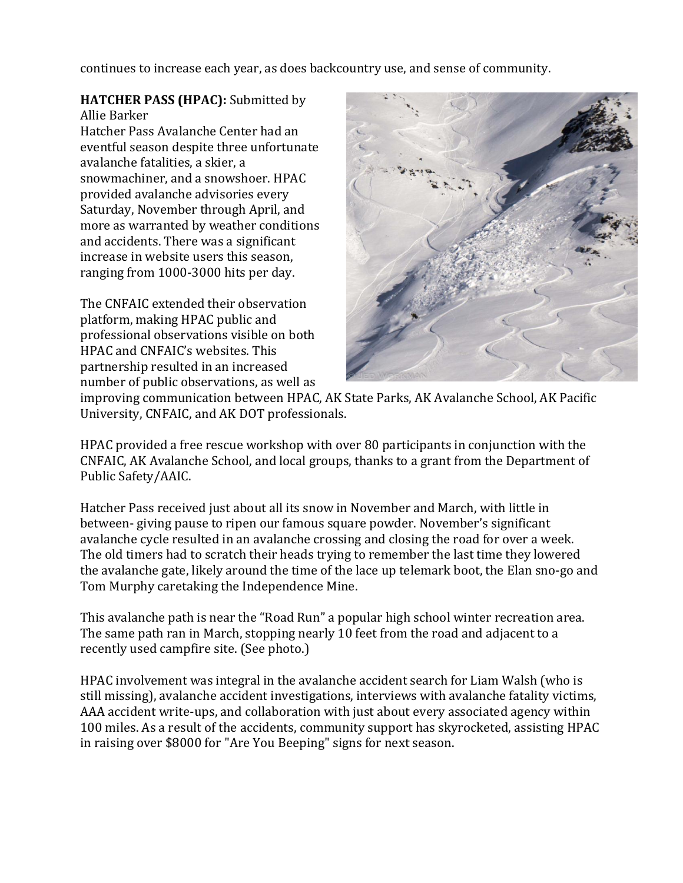continues to increase each year, as does backcountry use, and sense of community.

## **HATCHER PASS (HPAC):** Submitted by

Allie Barker Hatcher Pass Avalanche Center had an eventful season despite three unfortunate avalanche fatalities, a skier, a snowmachiner, and a snowshoer. HPAC provided avalanche advisories every Saturday, November through April, and more as warranted by weather conditions and accidents. There was a significant increase in website users this season, ranging from 1000-3000 hits per day.

The CNFAIC extended their observation platform, making HPAC public and professional observations visible on both HPAC and CNFAIC's websites. This partnership resulted in an increased number of public observations, as well as

![](_page_3_Picture_4.jpeg)

improving communication between HPAC, AK State Parks, AK Avalanche School, AK Pacific University, CNFAIC, and AK DOT professionals.

HPAC provided a free rescue workshop with over 80 participants in conjunction with the CNFAIC, AK Avalanche School, and local groups, thanks to a grant from the Department of Public Safety/AAIC.

Hatcher Pass received just about all its snow in November and March, with little in between- giving pause to ripen our famous square powder. November's significant avalanche cycle resulted in an avalanche crossing and closing the road for over a week. The old timers had to scratch their heads trying to remember the last time they lowered the avalanche gate, likely around the time of the lace up telemark boot, the Elan sno-go and Tom Murphy caretaking the Independence Mine.

This avalanche path is near the "Road Run" a popular high school winter recreation area. The same path ran in March, stopping nearly 10 feet from the road and adjacent to a recently used campfire site. (See photo.)

HPAC involvement was integral in the avalanche accident search for Liam Walsh (who is still missing), avalanche accident investigations, interviews with avalanche fatality victims, AAA accident write-ups, and collaboration with just about every associated agency within 100 miles. As a result of the accidents, community support has skyrocketed, assisting HPAC in raising over \$8000 for "Are You Beeping" signs for next season.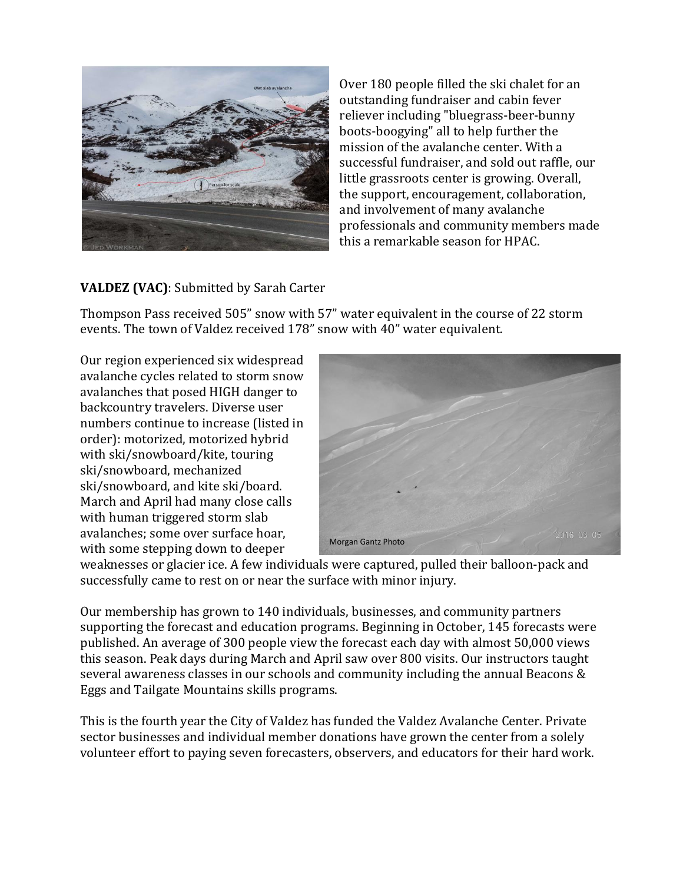![](_page_4_Picture_0.jpeg)

Over 180 people filled the ski chalet for an outstanding fundraiser and cabin fever reliever including "bluegrass-beer-bunny boots-boogying" all to help further the mission of the avalanche center. With a successful fundraiser, and sold out raffle, our little grassroots center is growing. Overall, the support, encouragement, collaboration, and involvement of many avalanche professionals and community members made this a remarkable season for HPAC.

# **VALDEZ (VAC)**: Submitted by Sarah Carter

Thompson Pass received 505" snow with 57" water equivalent in the course of 22 storm events. The town of Valdez received 178" snow with 40" water equivalent.

Our region experienced six widespread avalanche cycles related to storm snow avalanches that posed HIGH danger to backcountry travelers. Diverse user numbers continue to increase (listed in order): motorized, motorized hybrid with ski/snowboard/kite, touring ski/snowboard, mechanized ski/snowboard, and kite ski/board. March and April had many close calls with human triggered storm slab avalanches; some over surface hoar, with some stepping down to deeper

![](_page_4_Picture_5.jpeg)

weaknesses or glacier ice. A few individuals were captured, pulled their balloon-pack and successfully came to rest on or near the surface with minor injury.

Our membership has grown to 140 individuals, businesses, and community partners supporting the forecast and education programs. Beginning in October, 145 forecasts were published. An average of 300 people view the forecast each day with almost 50,000 views this season. Peak days during March and April saw over 800 visits. Our instructors taught several awareness classes in our schools and community including the annual Beacons & Eggs and Tailgate Mountains skills programs.

This is the fourth year the City of Valdez has funded the Valdez Avalanche Center. Private sector businesses and individual member donations have grown the center from a solely volunteer effort to paying seven forecasters, observers, and educators for their hard work.